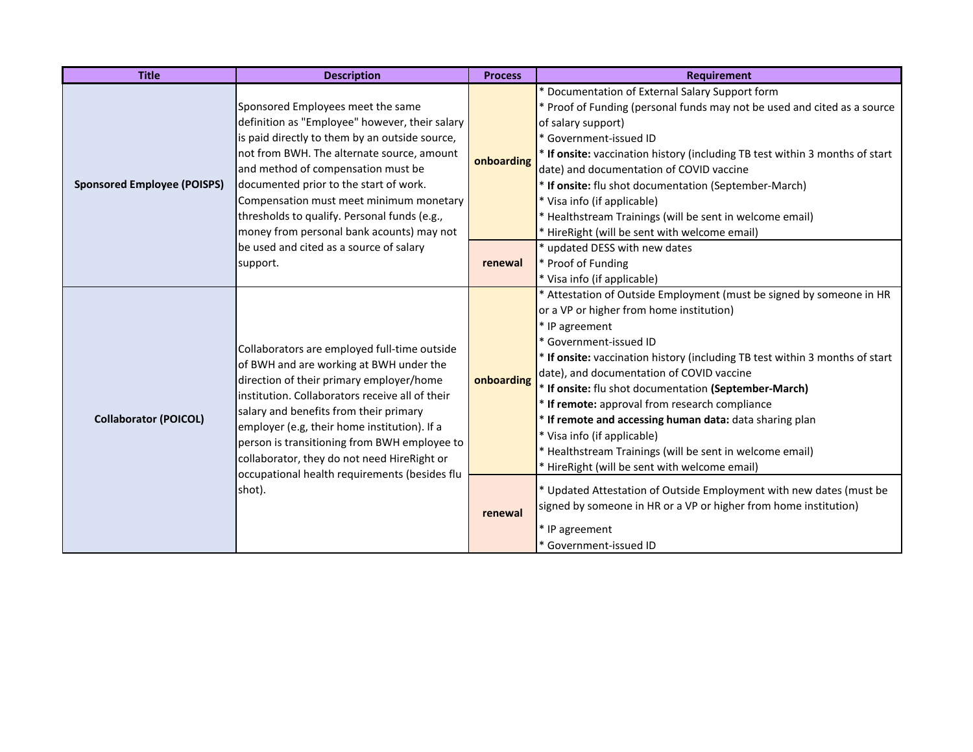| <b>Title</b>                       | <b>Description</b>                                                                                                                                                                                                                                                                                                                                                                                                                         | <b>Process</b>        | <b>Requirement</b>                                                                                                                                                                                                                                                                                                                                                                                                                                                                                                                                                                                                                                                                                                                                                                                 |
|------------------------------------|--------------------------------------------------------------------------------------------------------------------------------------------------------------------------------------------------------------------------------------------------------------------------------------------------------------------------------------------------------------------------------------------------------------------------------------------|-----------------------|----------------------------------------------------------------------------------------------------------------------------------------------------------------------------------------------------------------------------------------------------------------------------------------------------------------------------------------------------------------------------------------------------------------------------------------------------------------------------------------------------------------------------------------------------------------------------------------------------------------------------------------------------------------------------------------------------------------------------------------------------------------------------------------------------|
| <b>Sponsored Employee (POISPS)</b> | Sponsored Employees meet the same<br>definition as "Employee" however, their salary<br>is paid directly to them by an outside source,<br>not from BWH. The alternate source, amount<br>and method of compensation must be<br>documented prior to the start of work.<br>Compensation must meet minimum monetary<br>thresholds to qualify. Personal funds (e.g.,<br>money from personal bank acounts) may not                                | onboarding            | <sup>t</sup> Documentation of External Salary Support form<br>* Proof of Funding (personal funds may not be used and cited as a source<br>of salary support)<br>* Government-issued ID<br>* If onsite: vaccination history (including TB test within 3 months of start<br>date) and documentation of COVID vaccine<br>* If onsite: flu shot documentation (September-March)<br>* Visa info (if applicable)<br>* Healthstream Trainings (will be sent in welcome email)<br>* HireRight (will be sent with welcome email)                                                                                                                                                                                                                                                                            |
|                                    | be used and cited as a source of salary<br>support.                                                                                                                                                                                                                                                                                                                                                                                        | renewal               | * updated DESS with new dates<br>* Proof of Funding<br>* Visa info (if applicable)                                                                                                                                                                                                                                                                                                                                                                                                                                                                                                                                                                                                                                                                                                                 |
| <b>Collaborator (POICOL)</b>       | Collaborators are employed full-time outside<br>of BWH and are working at BWH under the<br>direction of their primary employer/home<br>Institution. Collaborators receive all of their<br>salary and benefits from their primary<br>employer (e.g, their home institution). If a<br>person is transitioning from BWH employee to<br>collaborator, they do not need HireRight or<br>occupational health requirements (besides flu<br>shot). | onboarding<br>renewal | * Attestation of Outside Employment (must be signed by someone in HR<br>or a VP or higher from home institution)<br>* IP agreement<br>* Government-issued ID<br>* If onsite: vaccination history (including TB test within 3 months of start<br>date), and documentation of COVID vaccine<br>* If onsite: flu shot documentation (September-March)<br>* If remote: approval from research compliance<br>* If remote and accessing human data: data sharing plan<br>* Visa info (if applicable)<br>* Healthstream Trainings (will be sent in welcome email)<br>* HireRight (will be sent with welcome email)<br>* Updated Attestation of Outside Employment with new dates (must be<br>signed by someone in HR or a VP or higher from home institution)<br>* IP agreement<br>* Government-issued ID |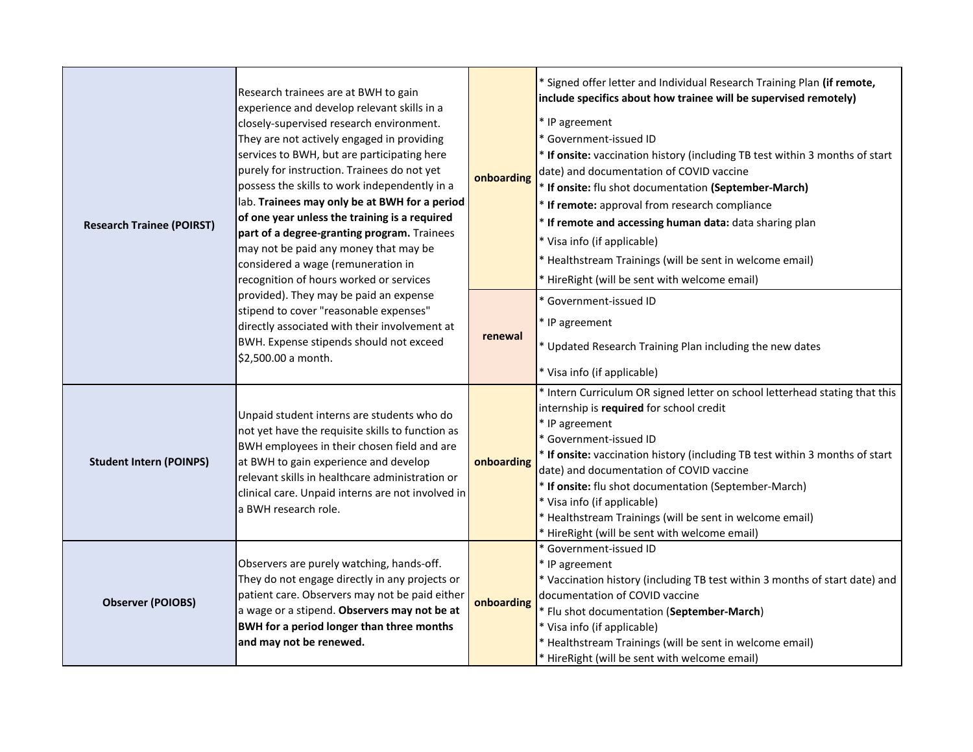| <b>Research Trainee (POIRST)</b> | Research trainees are at BWH to gain<br>experience and develop relevant skills in a<br>closely-supervised research environment.<br>They are not actively engaged in providing<br>services to BWH, but are participating here<br>purely for instruction. Trainees do not yet<br>possess the skills to work independently in a<br>lab. Trainees may only be at BWH for a period<br>of one year unless the training is a required<br>part of a degree-granting program. Trainees<br>may not be paid any money that may be<br>considered a wage (remuneration in<br>recognition of hours worked or services | onboarding | * Signed offer letter and Individual Research Training Plan (if remote,<br>include specifics about how trainee will be supervised remotely)<br>* IP agreement<br>* Government-issued ID<br>* If onsite: vaccination history (including TB test within 3 months of start<br>date) and documentation of COVID vaccine<br>* If onsite: flu shot documentation (September-March)<br>* If remote: approval from research compliance<br>* If remote and accessing human data: data sharing plan<br>* Visa info (if applicable)<br>* Healthstream Trainings (will be sent in welcome email)<br>* HireRight (will be sent with welcome email) |
|----------------------------------|---------------------------------------------------------------------------------------------------------------------------------------------------------------------------------------------------------------------------------------------------------------------------------------------------------------------------------------------------------------------------------------------------------------------------------------------------------------------------------------------------------------------------------------------------------------------------------------------------------|------------|---------------------------------------------------------------------------------------------------------------------------------------------------------------------------------------------------------------------------------------------------------------------------------------------------------------------------------------------------------------------------------------------------------------------------------------------------------------------------------------------------------------------------------------------------------------------------------------------------------------------------------------|
|                                  | provided). They may be paid an expense<br>stipend to cover "reasonable expenses"<br>directly associated with their involvement at<br>BWH. Expense stipends should not exceed<br>\$2,500.00 a month.                                                                                                                                                                                                                                                                                                                                                                                                     | renewal    | * Government-issued ID<br>* IP agreement<br>* Updated Research Training Plan including the new dates<br>* Visa info (if applicable)                                                                                                                                                                                                                                                                                                                                                                                                                                                                                                   |
| <b>Student Intern (POINPS)</b>   | Unpaid student interns are students who do<br>not yet have the requisite skills to function as<br>BWH employees in their chosen field and are<br>at BWH to gain experience and develop<br>relevant skills in healthcare administration or<br>clinical care. Unpaid interns are not involved in<br>a BWH research role.                                                                                                                                                                                                                                                                                  | onboarding | * Intern Curriculum OR signed letter on school letterhead stating that this<br>internship is required for school credit<br>* IP agreement<br>* Government-issued ID<br>* If onsite: vaccination history (including TB test within 3 months of start<br>date) and documentation of COVID vaccine<br>* If onsite: flu shot documentation (September-March)<br>* Visa info (if applicable)<br>* Healthstream Trainings (will be sent in welcome email)<br>* HireRight (will be sent with welcome email)                                                                                                                                  |
| <b>Observer (POIOBS)</b>         | Observers are purely watching, hands-off.<br>They do not engage directly in any projects or<br>patient care. Observers may not be paid either<br>a wage or a stipend. Observers may not be at<br><b>BWH</b> for a period longer than three months<br>and may not be renewed.                                                                                                                                                                                                                                                                                                                            | onboarding | * Government-issued ID<br>* IP agreement<br>* Vaccination history (including TB test within 3 months of start date) and<br>documentation of COVID vaccine<br>* Flu shot documentation (September-March)<br>* Visa info (if applicable)<br>* Healthstream Trainings (will be sent in welcome email)<br>* HireRight (will be sent with welcome email)                                                                                                                                                                                                                                                                                   |